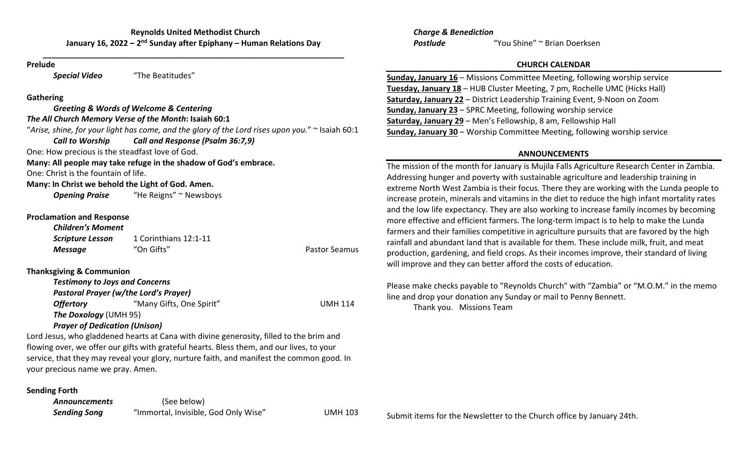**\_\_\_\_\_\_\_\_\_\_\_\_\_\_\_\_\_\_\_\_\_\_\_\_\_\_\_\_\_\_\_\_\_\_\_\_\_\_\_\_\_\_\_\_\_\_\_\_\_\_\_\_\_\_\_\_\_\_\_\_\_\_\_\_\_\_\_\_**

#### **Prelude**

*Special Video* "The Beatitudes"

## **Gathering**

*Greeting & Words of Welcome & Centering The All Church Memory Verse of the Month***: Isaiah 60:1** "*Arise, shine, for your light has come, and the glory of the Lord rises upon you.*" <sup>~</sup> Isaiah 60:1 *Call to Worship Call and Response (Psalm 36:7,9)* One: How precious is the steadfast love of God. **Many: All people may take refuge in the shadow of God's embrace.** One: Christ is the fountain of life. **Many: In Christ we behold the Light of God. Amen.** *Opening Praise* "He Reigns" ~ Newsboys **Proclamation and Response** *Children's Moment*

*Scripture Lesson* 1 Corinthians 12:1‐11 **Message** "On Gifts" **Pastor Seamus** Pastor Seamus

# **Thanksgiving & Communion**

|                              | <b>Testimony to Joys and Concerns</b>        |                |
|------------------------------|----------------------------------------------|----------------|
|                              | <b>Pastoral Prayer (w/the Lord's Prayer)</b> |                |
| <b>Offertory</b>             | "Many Gifts, One Spirit"                     | <b>UMH 114</b> |
| <b>The Doxology (UMH 95)</b> |                                              |                |
|                              | --  . <i>.</i>                               |                |

## *Prayer of Dedication (Unison)*

Lord Jesus, who gladdened hearts at Cana with divine generosity, filled to the brim and flowing over, we offer our gifts with grateful hearts. Bless them, and our lives, to your service, that they may reveal your glory, nurture faith, and manifest the common good. In your precious name we pray. Amen.

## **Sending Forth**

*Announcements* (See below) **Sending Song** "Immortal, Invisible, God Only Wise" UMH 103

*Charge & Benediction Postlude*"You Shine" <sup>~</sup> Brian Doerksen

## **CHURCH CALENDAR**

| <b>Sunday, January 16 - Missions Committee Meeting, following worship service</b> |
|-----------------------------------------------------------------------------------|
| Tuesday, January 18 - HUB Cluster Meeting, 7 pm, Rochelle UMC (Hicks Hall)        |
| Saturday, January 22 - District Leadership Training Event, 9-Noon on Zoom         |
| <b>Sunday, January 23 - SPRC Meeting, following worship service</b>               |
| Saturday, January 29 - Men's Fellowship, 8 am, Fellowship Hall                    |
| <b>Sunday, January 30 - Worship Committee Meeting, following worship service</b>  |

# **ANNOUNCEMENTS**

The mission of the month for January is Mujila Falls Agriculture Research Center in Zambia. Addressing hunger and poverty with sustainable agriculture and leadership training in extreme North West Zambia is their focus. There they are working with the Lunda people to increase protein, minerals and vitamins in the diet to reduce the high infant mortality rates and the low life expectancy. They are also working to increase family incomes by becoming more effective and efficient farmers. The long‐term impact is to help to make the Lunda farmers and their families competitive in agriculture pursuits that are favored by the high rainfall and abundant land that is available for them. These include milk, fruit, and meat production, gardening, and field crops. As their incomes improve, their standard of living will improve and they can better afford the costs of education.

Please make checks payable to "Reynolds Church" with "Zambia" or "M.O.M." in the memo line and drop your donation any Sunday or mail to Penny Bennett. Thank you. Missions Team

Submit items for the Newsletter to the Church office by January 24th.